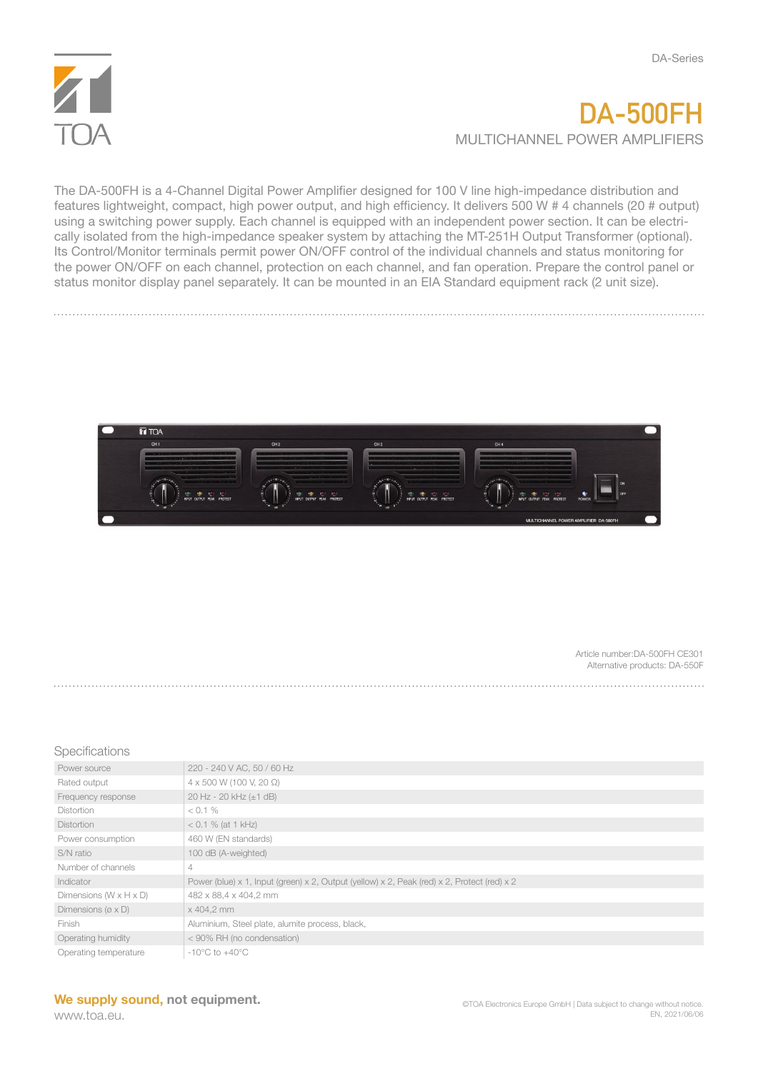

## **DA-500FH** MULTICHANNEL POWER AMPLIFIERS

The DA-500FH is a 4-Channel Digital Power Amplifier designed for 100 V line high-impedance distribution and features lightweight, compact, high power output, and high efficiency. It delivers 500 W # 4 channels (20 # output) using a switching power supply. Each channel is equipped with an independent power section. It can be electrically isolated from the high-impedance speaker system by attaching the MT-251H Output Transformer (optional). Its Control/Monitor terminals permit power ON/OFF control of the individual channels and status monitoring for the power ON/OFF on each channel, protection on each channel, and fan operation. Prepare the control panel or status monitor display panel separately. It can be mounted in an EIA Standard equipment rack (2 unit size).



Article number:DA-500FH CE301 Alternative products: DA-550F

## **Specifications**

| Power source                          | 220 - 240 V AC, 50 / 60 Hz                                                                  |
|---------------------------------------|---------------------------------------------------------------------------------------------|
| Rated output                          | 4 x 500 W (100 V, 20 Ω)                                                                     |
| Frequency response                    | 20 Hz - 20 kHz (±1 dB)                                                                      |
| <b>Distortion</b>                     | $< 0.1 \%$                                                                                  |
| <b>Distortion</b>                     | $< 0.1 \%$ (at 1 kHz)                                                                       |
| Power consumption                     | 460 W (EN standards)                                                                        |
| S/N ratio                             | 100 dB (A-weighted)                                                                         |
| Number of channels                    | 4                                                                                           |
| Indicator                             | Power (blue) x 1, Input (green) x 2, Output (yellow) x 2, Peak (red) x 2, Protect (red) x 2 |
| Dimensions $(W \times H \times D)$    | 482 x 88,4 x 404,2 mm                                                                       |
| Dimensions ( $\varnothing \times D$ ) | x 404,2 mm                                                                                  |
| Finish                                | Aluminium, Steel plate, alumite process, black,                                             |
| Operating humidity                    | < 90% RH (no condensation)                                                                  |
| Operating temperature                 | $-10^{\circ}$ C to $+40^{\circ}$ C                                                          |